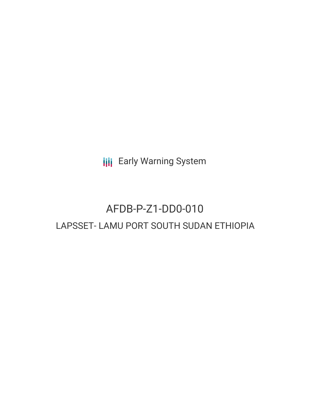**III** Early Warning System

# AFDB-P-Z1-DD0-010 LAPSSET- LAMU PORT SOUTH SUDAN ETHIOPIA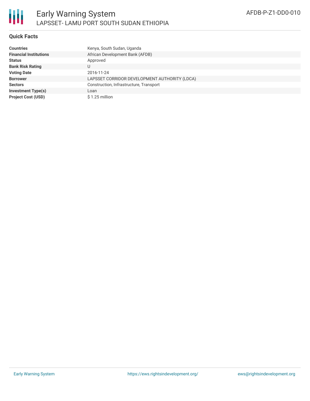

### **Quick Facts**

| <b>Countries</b>              | Kenya, South Sudan, Uganda                    |
|-------------------------------|-----------------------------------------------|
| <b>Financial Institutions</b> | African Development Bank (AFDB)               |
| <b>Status</b>                 | Approved                                      |
| <b>Bank Risk Rating</b>       |                                               |
| <b>Voting Date</b>            | 2016-11-24                                    |
| <b>Borrower</b>               | LAPSSET CORRIDOR DEVELOPMENT AUTHORITY (LDCA) |
| <b>Sectors</b>                | Construction, Infrastructure, Transport       |
| <b>Investment Type(s)</b>     | Loan                                          |
| <b>Project Cost (USD)</b>     | $$1.25$ million                               |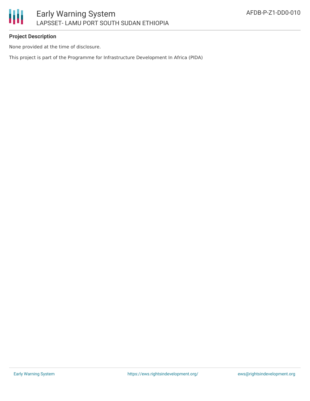# **Project Description**

None provided at the time of disclosure.

This project is part of the Programme for Infrastructure Development In Africa (PIDA)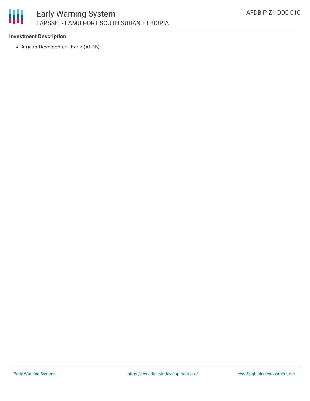# 朋

# **Investment Description**

African Development Bank (AFDB)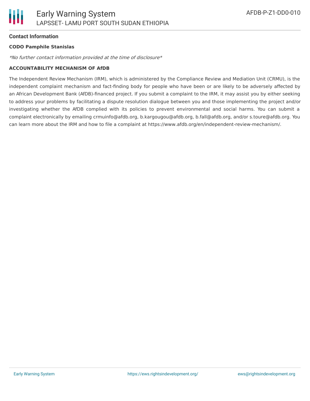#### **Contact Information**

#### **CODO Pamphile Stanislas**

\*No further contact information provided at the time of disclosure\*

#### **ACCOUNTABILITY MECHANISM OF AfDB**

The Independent Review Mechanism (IRM), which is administered by the Compliance Review and Mediation Unit (CRMU), is the independent complaint mechanism and fact-finding body for people who have been or are likely to be adversely affected by an African Development Bank (AfDB)-financed project. If you submit a complaint to the IRM, it may assist you by either seeking to address your problems by facilitating a dispute resolution dialogue between you and those implementing the project and/or investigating whether the AfDB complied with its policies to prevent environmental and social harms. You can submit a complaint electronically by emailing crmuinfo@afdb.org, b.kargougou@afdb.org, b.fall@afdb.org, and/or s.toure@afdb.org. You can learn more about the IRM and how to file a complaint at https://www.afdb.org/en/independent-review-mechanism/.